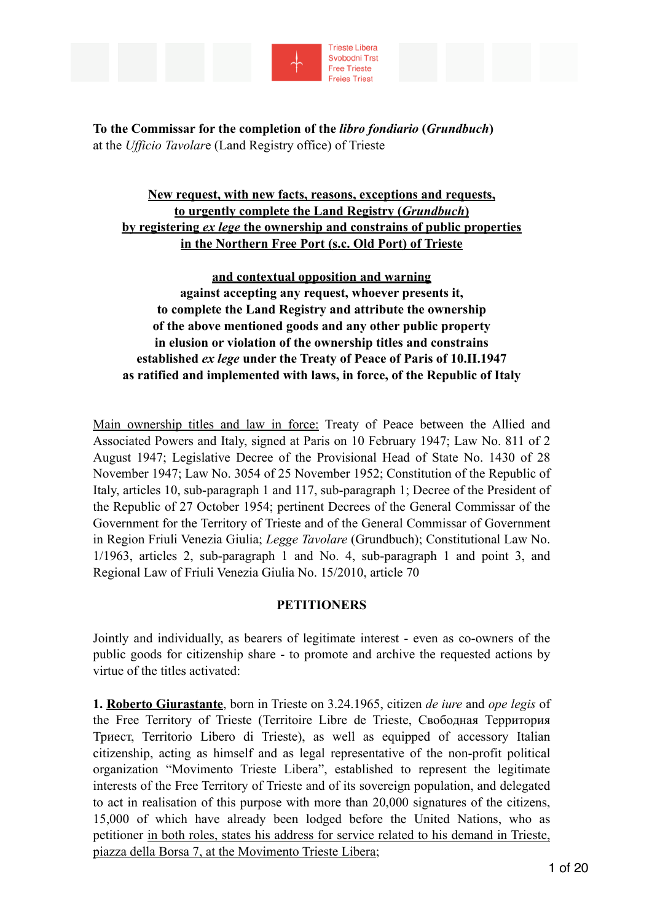



**To the Commissar for the completion of the** *libro fondiario* **(***Grundbuch***)** at the *Ufficio Tavolar*e (Land Registry office) of Trieste

# **New request, with new facts, reasons, exceptions and requests, to urgently complete the Land Registry (***Grundbuch***) by registering** *ex lege* **the ownership and constrains of public properties in the Northern Free Port (s.c. Old Port) of Trieste**

# **and contextual opposition and warning against accepting any request, whoever presents it, to complete the Land Registry and attribute the ownership of the above mentioned goods and any other public property in elusion or violation of the ownership titles and constrains established** *ex lege* **under the Treaty of Peace of Paris of 10.II.1947 as ratified and implemented with laws, in force, of the Republic of Italy**

Main ownership titles and law in force: Treaty of Peace between the Allied and Associated Powers and Italy, signed at Paris on 10 February 1947; Law No. 811 of 2 August 1947; Legislative Decree of the Provisional Head of State No. 1430 of 28 November 1947; Law No. 3054 of 25 November 1952; Constitution of the Republic of Italy, articles 10, sub-paragraph 1 and 117, sub-paragraph 1; Decree of the President of the Republic of 27 October 1954; pertinent Decrees of the General Commissar of the Government for the Territory of Trieste and of the General Commissar of Government in Region Friuli Venezia Giulia; *Legge Tavolare* (Grundbuch); Constitutional Law No. 1/1963, articles 2, sub-paragraph 1 and No. 4, sub-paragraph 1 and point 3, and Regional Law of Friuli Venezia Giulia No. 15/2010, article 70

### **PETITIONERS**

Jointly and individually, as bearers of legitimate interest - even as co-owners of the public goods for citizenship share - to promote and archive the requested actions by virtue of the titles activated:

**1. Roberto Giurastante**, born in Trieste on 3.24.1965, citizen *de iure* and *ope legis* of the Free Territory of Trieste (Territoire Libre de Trieste, Свободная Территория Триест, Territorio Libero di Trieste), as well as equipped of accessory Italian citizenship, acting as himself and as legal representative of the non-profit political organization "Movimento Trieste Libera", established to represent the legitimate interests of the Free Territory of Trieste and of its sovereign population, and delegated to act in realisation of this purpose with more than 20,000 signatures of the citizens, 15,000 of which have already been lodged before the United Nations, who as petitioner in both roles, states his address for service related to his demand in Trieste, piazza della Borsa 7, at the Movimento Trieste Libera;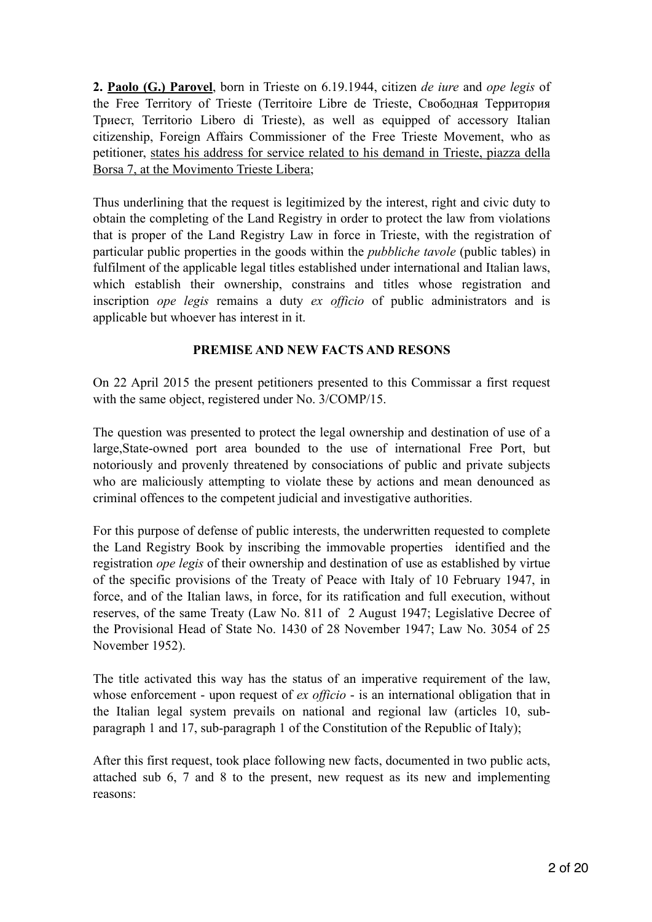**2. Paolo (G.) Parovel**, born in Trieste on 6.19.1944, citizen *de iure* and *ope legis* of the Free Territory of Trieste (Territoire Libre de Trieste, Свободная Территория Триест, Territorio Libero di Trieste), as well as equipped of accessory Italian citizenship, Foreign Affairs Commissioner of the Free Trieste Movement, who as petitioner, states his address for service related to his demand in Trieste, piazza della Borsa 7, at the Movimento Trieste Libera;

Thus underlining that the request is legitimized by the interest, right and civic duty to obtain the completing of the Land Registry in order to protect the law from violations that is proper of the Land Registry Law in force in Trieste, with the registration of particular public properties in the goods within the *pubbliche tavole* (public tables) in fulfilment of the applicable legal titles established under international and Italian laws, which establish their ownership, constrains and titles whose registration and inscription *ope legis* remains a duty *ex officio* of public administrators and is applicable but whoever has interest in it.

### **PREMISE AND NEW FACTS AND RESONS**

On 22 April 2015 the present petitioners presented to this Commissar a first request with the same object, registered under No. 3/COMP/15.

The question was presented to protect the legal ownership and destination of use of a large,State-owned port area bounded to the use of international Free Port, but notoriously and provenly threatened by consociations of public and private subjects who are maliciously attempting to violate these by actions and mean denounced as criminal offences to the competent judicial and investigative authorities.

For this purpose of defense of public interests, the underwritten requested to complete the Land Registry Book by inscribing the immovable properties identified and the registration *ope legis* of their ownership and destination of use as established by virtue of the specific provisions of the Treaty of Peace with Italy of 10 February 1947, in force, and of the Italian laws, in force, for its ratification and full execution, without reserves, of the same Treaty (Law No. 811 of 2 August 1947; Legislative Decree of the Provisional Head of State No. 1430 of 28 November 1947; Law No. 3054 of 25 November 1952).

The title activated this way has the status of an imperative requirement of the law, whose enforcement - upon request of *ex officio* - is an international obligation that in the Italian legal system prevails on national and regional law (articles 10, subparagraph 1 and 17, sub-paragraph 1 of the Constitution of the Republic of Italy);

After this first request, took place following new facts, documented in two public acts, attached sub 6, 7 and 8 to the present, new request as its new and implementing reasons: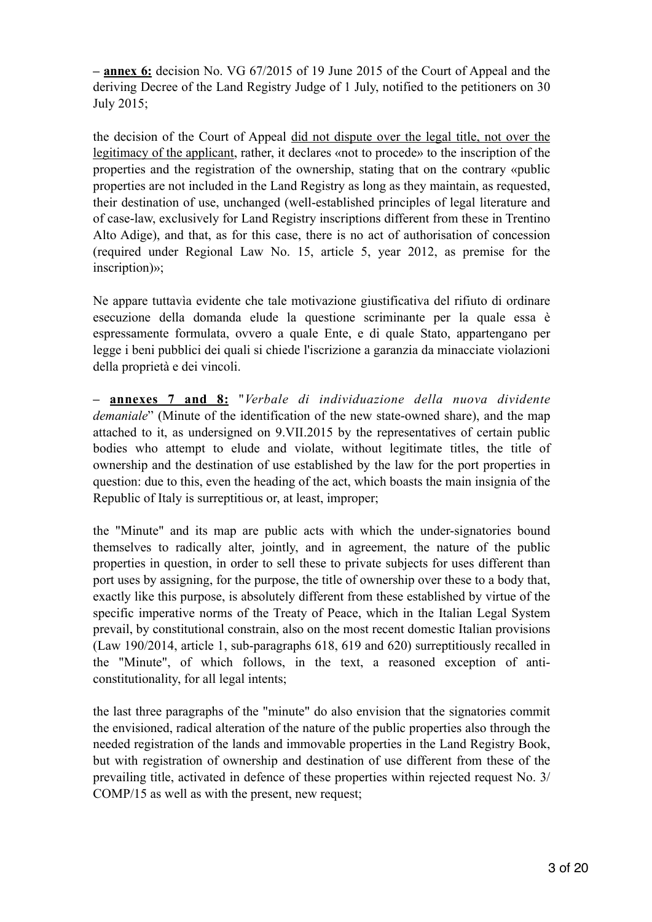**– annex 6:** decision No. VG 67/2015 of 19 June 2015 of the Court of Appeal and the deriving Decree of the Land Registry Judge of 1 July, notified to the petitioners on 30 July 2015;

the decision of the Court of Appeal did not dispute over the legal title, not over the legitimacy of the applicant, rather, it declares «not to procede» to the inscription of the properties and the registration of the ownership, stating that on the contrary «public properties are not included in the Land Registry as long as they maintain, as requested, their destination of use, unchanged (well-established principles of legal literature and of case-law, exclusively for Land Registry inscriptions different from these in Trentino Alto Adige), and that, as for this case, there is no act of authorisation of concession (required under Regional Law No. 15, article 5, year 2012, as premise for the inscription)»;

Ne appare tuttavìa evidente che tale motivazione giustificativa del rifiuto di ordinare esecuzione della domanda elude la questione scriminante per la quale essa è espressamente formulata, ovvero a quale Ente, e di quale Stato, appartengano per legge i beni pubblici dei quali si chiede l'iscrizione a garanzia da minacciate violazioni della proprietà e dei vincoli.

**– annexes 7 and 8:** "*Verbale di individuazione della nuova dividente demaniale*" (Minute of the identification of the new state-owned share), and the map attached to it, as undersigned on 9.VII.2015 by the representatives of certain public bodies who attempt to elude and violate, without legitimate titles, the title of ownership and the destination of use established by the law for the port properties in question: due to this, even the heading of the act, which boasts the main insignia of the Republic of Italy is surreptitious or, at least, improper;

the "Minute" and its map are public acts with which the under-signatories bound themselves to radically alter, jointly, and in agreement, the nature of the public properties in question, in order to sell these to private subjects for uses different than port uses by assigning, for the purpose, the title of ownership over these to a body that, exactly like this purpose, is absolutely different from these established by virtue of the specific imperative norms of the Treaty of Peace, which in the Italian Legal System prevail, by constitutional constrain, also on the most recent domestic Italian provisions (Law 190/2014, article 1, sub-paragraphs 618, 619 and 620) surreptitiously recalled in the "Minute", of which follows, in the text, a reasoned exception of anticonstitutionality, for all legal intents;

the last three paragraphs of the "minute" do also envision that the signatories commit the envisioned, radical alteration of the nature of the public properties also through the needed registration of the lands and immovable properties in the Land Registry Book, but with registration of ownership and destination of use different from these of the prevailing title, activated in defence of these properties within rejected request No. 3/ COMP/15 as well as with the present, new request;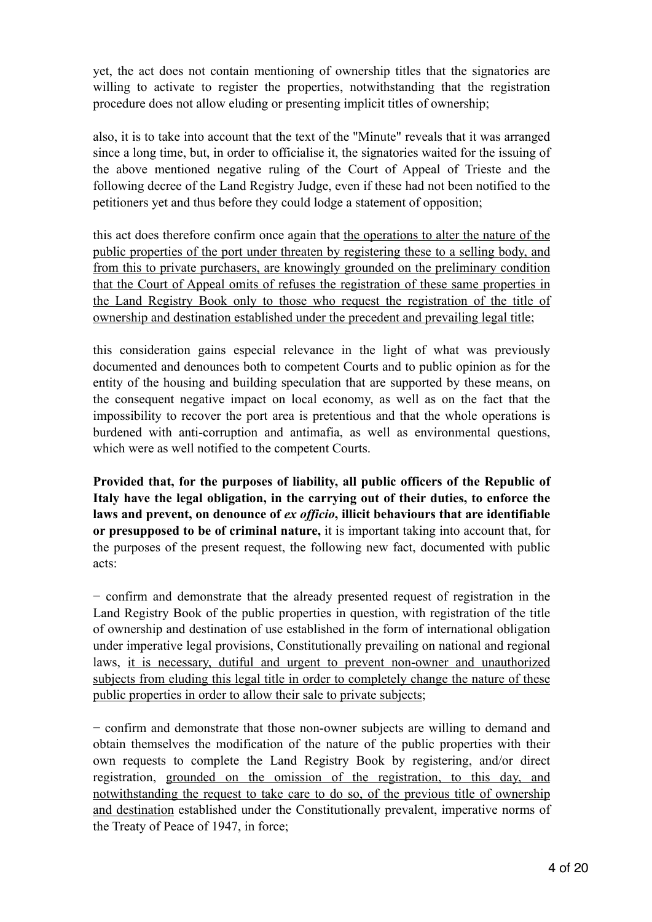yet, the act does not contain mentioning of ownership titles that the signatories are willing to activate to register the properties, notwithstanding that the registration procedure does not allow eluding or presenting implicit titles of ownership;

also, it is to take into account that the text of the "Minute" reveals that it was arranged since a long time, but, in order to officialise it, the signatories waited for the issuing of the above mentioned negative ruling of the Court of Appeal of Trieste and the following decree of the Land Registry Judge, even if these had not been notified to the petitioners yet and thus before they could lodge a statement of opposition;

this act does therefore confirm once again that the operations to alter the nature of the public properties of the port under threaten by registering these to a selling body, and from this to private purchasers, are knowingly grounded on the preliminary condition that the Court of Appeal omits of refuses the registration of these same properties in the Land Registry Book only to those who request the registration of the title of ownership and destination established under the precedent and prevailing legal title;

this consideration gains especial relevance in the light of what was previously documented and denounces both to competent Courts and to public opinion as for the entity of the housing and building speculation that are supported by these means, on the consequent negative impact on local economy, as well as on the fact that the impossibility to recover the port area is pretentious and that the whole operations is burdened with anti-corruption and antimafia, as well as environmental questions, which were as well notified to the competent Courts.

**Provided that, for the purposes of liability, all public officers of the Republic of Italy have the legal obligation, in the carrying out of their duties, to enforce the laws and prevent, on denounce of** *ex officio***, illicit behaviours that are identifiable or presupposed to be of criminal nature,** it is important taking into account that, for the purposes of the present request, the following new fact, documented with public acts:

− confirm and demonstrate that the already presented request of registration in the Land Registry Book of the public properties in question, with registration of the title of ownership and destination of use established in the form of international obligation under imperative legal provisions, Constitutionally prevailing on national and regional laws, it is necessary, dutiful and urgent to prevent non-owner and unauthorized subjects from eluding this legal title in order to completely change the nature of these public properties in order to allow their sale to private subjects;

− confirm and demonstrate that those non-owner subjects are willing to demand and obtain themselves the modification of the nature of the public properties with their own requests to complete the Land Registry Book by registering, and/or direct registration, grounded on the omission of the registration, to this day, and notwithstanding the request to take care to do so, of the previous title of ownership and destination established under the Constitutionally prevalent, imperative norms of the Treaty of Peace of 1947, in force;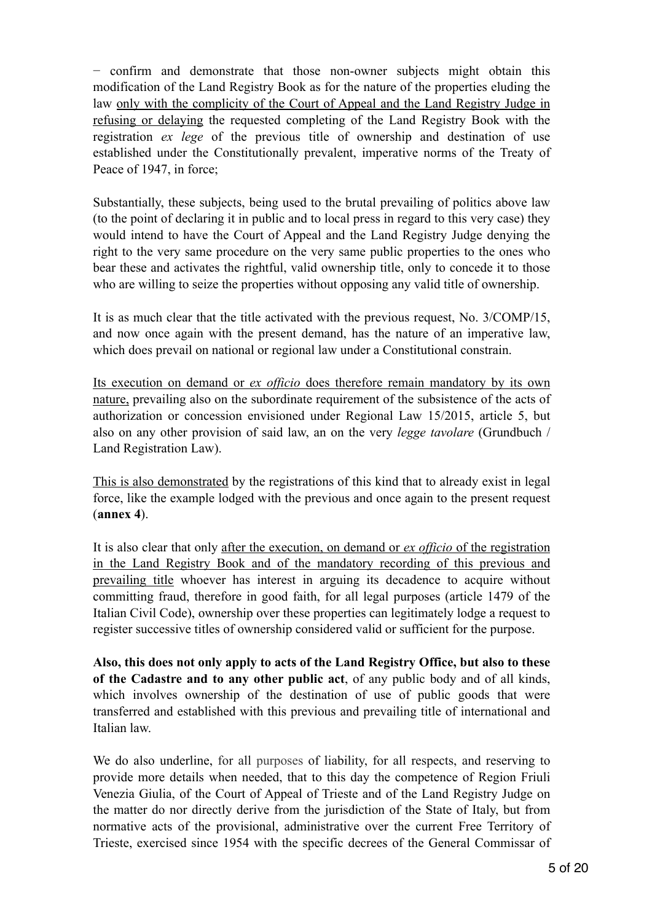− confirm and demonstrate that those non-owner subjects might obtain this modification of the Land Registry Book as for the nature of the properties eluding the law only with the complicity of the Court of Appeal and the Land Registry Judge in refusing or delaying the requested completing of the Land Registry Book with the registration *ex lege* of the previous title of ownership and destination of use established under the Constitutionally prevalent, imperative norms of the Treaty of Peace of 1947, in force;

Substantially, these subjects, being used to the brutal prevailing of politics above law (to the point of declaring it in public and to local press in regard to this very case) they would intend to have the Court of Appeal and the Land Registry Judge denying the right to the very same procedure on the very same public properties to the ones who bear these and activates the rightful, valid ownership title, only to concede it to those who are willing to seize the properties without opposing any valid title of ownership.

It is as much clear that the title activated with the previous request, No. 3/COMP/15, and now once again with the present demand, has the nature of an imperative law, which does prevail on national or regional law under a Constitutional constrain.

Its execution on demand or *ex officio* does therefore remain mandatory by its own nature, prevailing also on the subordinate requirement of the subsistence of the acts of authorization or concession envisioned under Regional Law 15/2015, article 5, but also on any other provision of said law, an on the very *legge tavolare* (Grundbuch / Land Registration Law).

This is also demonstrated by the registrations of this kind that to already exist in legal force, like the example lodged with the previous and once again to the present request (**annex 4**).

It is also clear that only after the execution, on demand or *ex officio* of the registration in the Land Registry Book and of the mandatory recording of this previous and prevailing title whoever has interest in arguing its decadence to acquire without committing fraud, therefore in good faith, for all legal purposes (article 1479 of the Italian Civil Code), ownership over these properties can legitimately lodge a request to register successive titles of ownership considered valid or sufficient for the purpose.

**Also, this does not only apply to acts of the Land Registry Office, but also to these of the Cadastre and to any other public act**, of any public body and of all kinds, which involves ownership of the destination of use of public goods that were transferred and established with this previous and prevailing title of international and Italian law.

We do also underline, for all purposes of liability, for all respects, and reserving to provide more details when needed, that to this day the competence of Region Friuli Venezia Giulia, of the Court of Appeal of Trieste and of the Land Registry Judge on the matter do nor directly derive from the jurisdiction of the State of Italy, but from normative acts of the provisional, administrative over the current Free Territory of Trieste, exercised since 1954 with the specific decrees of the General Commissar of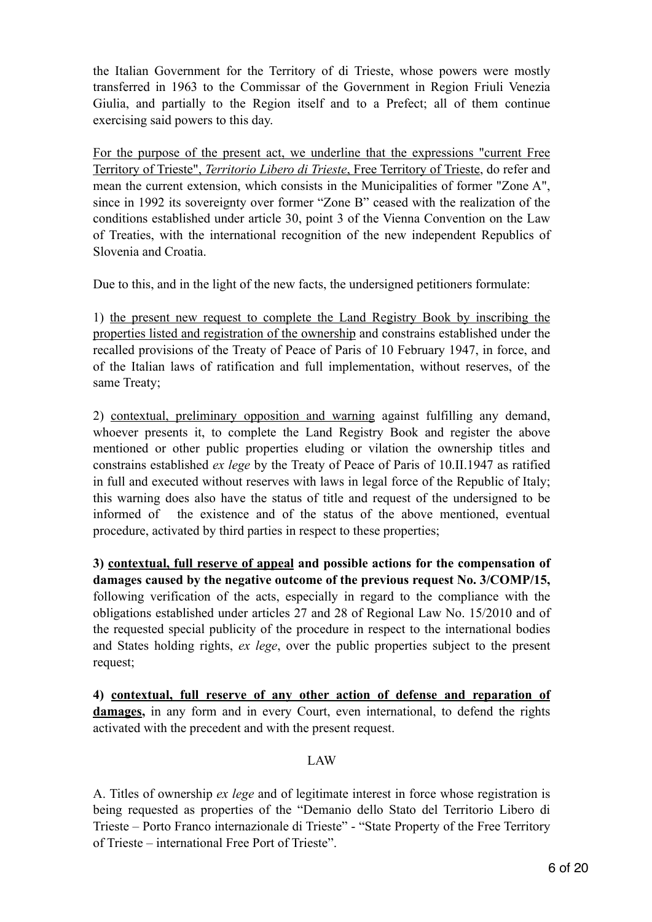the Italian Government for the Territory of di Trieste, whose powers were mostly transferred in 1963 to the Commissar of the Government in Region Friuli Venezia Giulia, and partially to the Region itself and to a Prefect; all of them continue exercising said powers to this day.

For the purpose of the present act, we underline that the expressions "current Free Territory of Trieste", *Territorio Libero di Trieste*, Free Territory of Trieste, do refer and mean the current extension, which consists in the Municipalities of former "Zone A", since in 1992 its sovereignty over former "Zone B" ceased with the realization of the conditions established under article 30, point 3 of the Vienna Convention on the Law of Treaties, with the international recognition of the new independent Republics of Slovenia and Croatia.

Due to this, and in the light of the new facts, the undersigned petitioners formulate:

1) the present new request to complete the Land Registry Book by inscribing the properties listed and registration of the ownership and constrains established under the recalled provisions of the Treaty of Peace of Paris of 10 February 1947, in force, and of the Italian laws of ratification and full implementation, without reserves, of the same Treaty;

2) contextual, preliminary opposition and warning against fulfilling any demand, whoever presents it, to complete the Land Registry Book and register the above mentioned or other public properties eluding or vilation the ownership titles and constrains established *ex lege* by the Treaty of Peace of Paris of 10.II.1947 as ratified in full and executed without reserves with laws in legal force of the Republic of Italy; this warning does also have the status of title and request of the undersigned to be informed of the existence and of the status of the above mentioned, eventual procedure, activated by third parties in respect to these properties;

**3) contextual, full reserve of appeal and possible actions for the compensation of damages caused by the negative outcome of the previous request No. 3/COMP/15,**  following verification of the acts, especially in regard to the compliance with the obligations established under articles 27 and 28 of Regional Law No. 15/2010 and of the requested special publicity of the procedure in respect to the international bodies and States holding rights, *ex lege*, over the public properties subject to the present request;

**4) contextual, full reserve of any other action of defense and reparation of damages,** in any form and in every Court, even international, to defend the rights activated with the precedent and with the present request.

### LAW

A. Titles of ownership *ex lege* and of legitimate interest in force whose registration is being requested as properties of the "Demanio dello Stato del Territorio Libero di Trieste – Porto Franco internazionale di Trieste" - "State Property of the Free Territory of Trieste – international Free Port of Trieste".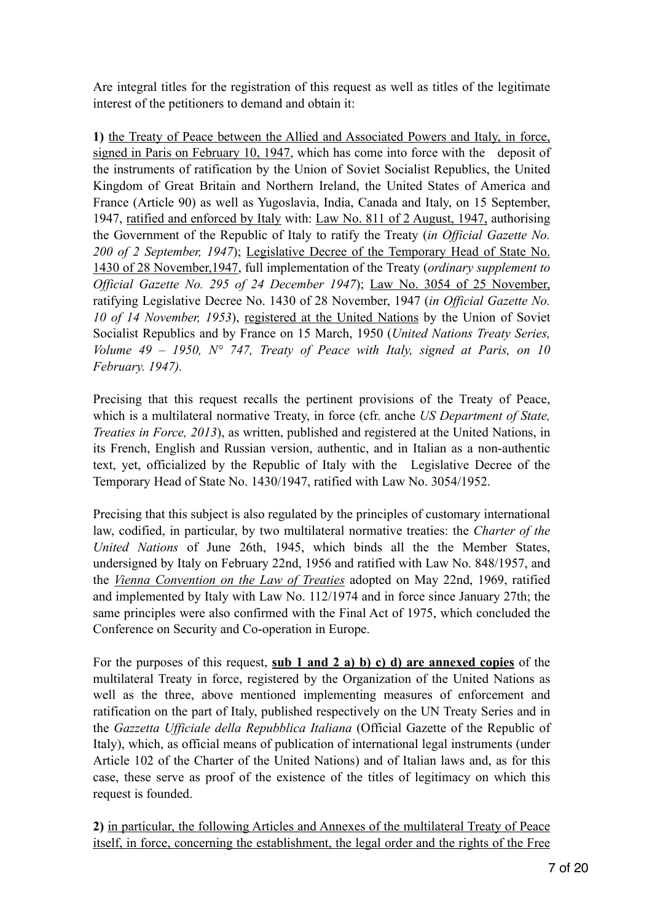Are integral titles for the registration of this request as well as titles of the legitimate interest of the petitioners to demand and obtain it:

**1)** the Treaty of Peace between the Allied and Associated Powers and Italy, in force, signed in Paris on February 10, 1947, which has come into force with the deposit of the instruments of ratification by the Union of Soviet Socialist Republics, the United Kingdom of Great Britain and Northern Ireland, the United States of America and France (Article 90) as well as Yugoslavia, India, Canada and Italy, on 15 September, 1947, ratified and enforced by Italy with: Law No. 811 of 2 August, 1947, authorising the Government of the Republic of Italy to ratify the Treaty (*in Official Gazette No. 200 of 2 September, 1947*); Legislative Decree of the Temporary Head of State No. 1430 of 28 November,1947, full implementation of the Treaty (*ordinary supplement to Official Gazette No. 295 of 24 December 1947*); Law No. 3054 of 25 November, ratifying Legislative Decree No. 1430 of 28 November, 1947 (*in Official Gazette No. 10 of 14 November, 1953*), registered at the United Nations by the Union of Soviet Socialist Republics and by France on 15 March, 1950 (*United Nations Treaty Series, Volume 49 – 1950, N° 747, Treaty of Peace with Italy, signed at Paris, on 10 February. 1947).*

Precising that this request recalls the pertinent provisions of the Treaty of Peace, which is a multilateral normative Treaty, in force (cfr. anche *US Department of State, Treaties in Force, 2013*), as written, published and registered at the United Nations, in its French, English and Russian version, authentic, and in Italian as a non-authentic text, yet, officialized by the Republic of Italy with the Legislative Decree of the Temporary Head of State No. 1430/1947, ratified with Law No. 3054/1952.

Precising that this subject is also regulated by the principles of customary international law, codified, in particular, by two multilateral normative treaties: the *Charter of the United Nations* of June 26th, 1945, which binds all the the Member States, undersigned by Italy on February 22nd, 1956 and ratified with Law No. 848/1957, and the *Vienna Convention on the Law of Treaties* adopted on May 22nd, 1969, ratified and implemented by Italy with Law No. 112/1974 and in force since January 27th; the same principles were also confirmed with the Final Act of 1975, which concluded the Conference on Security and Co-operation in Europe.

For the purposes of this request, **sub 1 and 2 a) b) c) d) are annexed copies** of the multilateral Treaty in force, registered by the Organization of the United Nations as well as the three, above mentioned implementing measures of enforcement and ratification on the part of Italy, published respectively on the UN Treaty Series and in the *Gazzetta Ufficiale della Repubblica Italiana* (Official Gazette of the Republic of Italy), which, as official means of publication of international legal instruments (under Article 102 of the Charter of the United Nations) and of Italian laws and, as for this case, these serve as proof of the existence of the titles of legitimacy on which this request is founded.

**2)** in particular, the following Articles and Annexes of the multilateral Treaty of Peace itself, in force, concerning the establishment, the legal order and the rights of the Free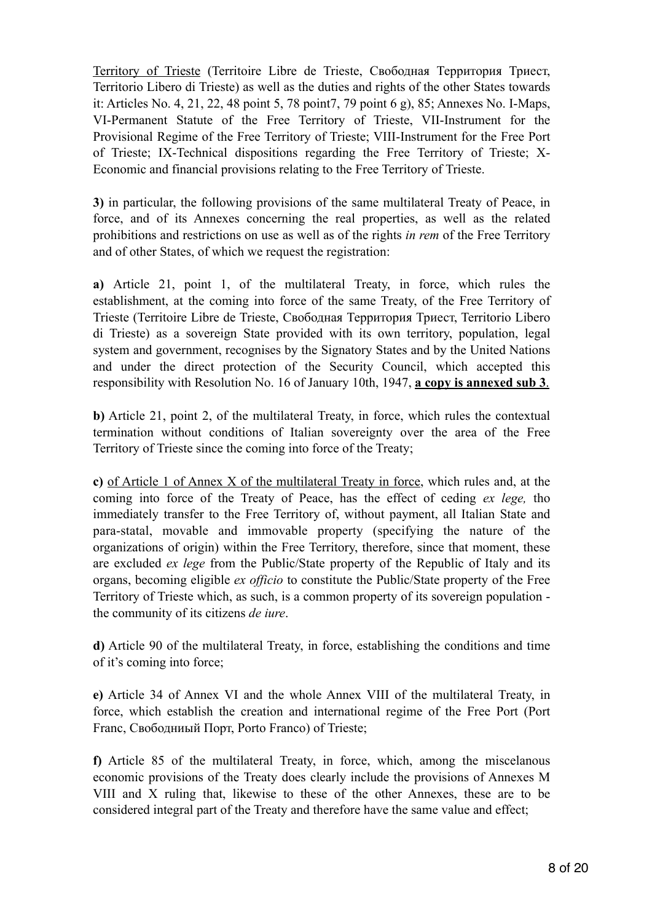Territory of Trieste (Territoire Libre de Trieste, Свободная Территория Триест, Territorio Libero di Trieste) as well as the duties and rights of the other States towards it: Articles No. 4, 21, 22, 48 point 5, 78 point7, 79 point 6 g), 85; Annexes No. I-Maps, VI-Permanent Statute of the Free Territory of Trieste, VII-Instrument for the Provisional Regime of the Free Territory of Trieste; VIII-Instrument for the Free Port of Trieste; IX-Technical dispositions regarding the Free Territory of Trieste; X-Economic and financial provisions relating to the Free Territory of Trieste.

**3)** in particular, the following provisions of the same multilateral Treaty of Peace, in force, and of its Annexes concerning the real properties, as well as the related prohibitions and restrictions on use as well as of the rights *in rem* of the Free Territory and of other States, of which we request the registration:

**a)** Article 21, point 1, of the multilateral Treaty, in force, which rules the establishment, at the coming into force of the same Treaty, of the Free Territory of Trieste (Territoire Libre de Trieste, Свободная Территория Триест, Territorio Libero di Trieste) as a sovereign State provided with its own territory, population, legal system and government, recognises by the Signatory States and by the United Nations and under the direct protection of the Security Council, which accepted this responsibility with Resolution No. 16 of January 10th, 1947, **a copy is annexed sub 3**.

**b)** Article 21, point 2, of the multilateral Treaty, in force, which rules the contextual termination without conditions of Italian sovereignty over the area of the Free Territory of Trieste since the coming into force of the Treaty;

**c)** of Article 1 of Annex X of the multilateral Treaty in force, which rules and, at the coming into force of the Treaty of Peace, has the effect of ceding *ex lege,* tho immediately transfer to the Free Territory of, without payment, all Italian State and para-statal, movable and immovable property (specifying the nature of the organizations of origin) within the Free Territory, therefore, since that moment, these are excluded *ex lege* from the Public/State property of the Republic of Italy and its organs, becoming eligible *ex officio* to constitute the Public/State property of the Free Territory of Trieste which, as such, is a common property of its sovereign population the community of its citizens *de iure*.

**d)** Article 90 of the multilateral Treaty, in force, establishing the conditions and time of it's coming into force;

**e)** Article 34 of Annex VI and the whole Annex VIII of the multilateral Treaty, in force, which establish the creation and international regime of the Free Port (Port Franc, Свободниый Порт, Porto Franco) of Trieste;

**f)** Article 85 of the multilateral Treaty, in force, which, among the miscelanous economic provisions of the Treaty does clearly include the provisions of Annexes M VIII and X ruling that, likewise to these of the other Annexes, these are to be considered integral part of the Treaty and therefore have the same value and effect;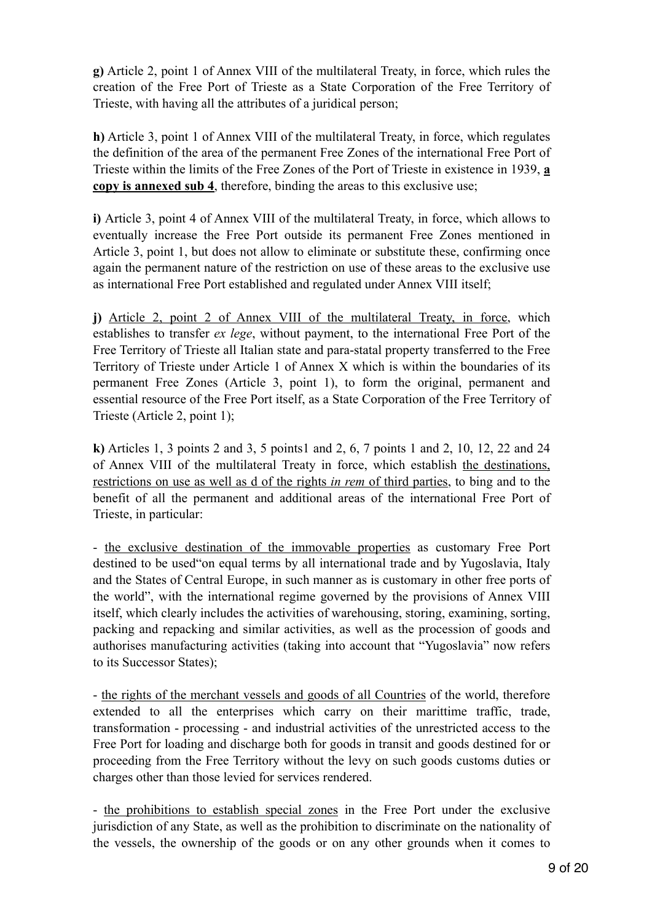**g)** Article 2, point 1 of Annex VIII of the multilateral Treaty, in force, which rules the creation of the Free Port of Trieste as a State Corporation of the Free Territory of Trieste, with having all the attributes of a juridical person;

**h)** Article 3, point 1 of Annex VIII of the multilateral Treaty, in force, which regulates the definition of the area of the permanent Free Zones of the international Free Port of Trieste within the limits of the Free Zones of the Port of Trieste in existence in 1939, **a copy is annexed sub 4**, therefore, binding the areas to this exclusive use;

**i)** Article 3, point 4 of Annex VIII of the multilateral Treaty, in force, which allows to eventually increase the Free Port outside its permanent Free Zones mentioned in Article 3, point 1, but does not allow to eliminate or substitute these, confirming once again the permanent nature of the restriction on use of these areas to the exclusive use as international Free Port established and regulated under Annex VIII itself;

**j)** Article 2, point 2 of Annex VIII of the multilateral Treaty, in force, which establishes to transfer *ex lege*, without payment, to the international Free Port of the Free Territory of Trieste all Italian state and para-statal property transferred to the Free Territory of Trieste under Article 1 of Annex X which is within the boundaries of its permanent Free Zones (Article 3, point 1), to form the original, permanent and essential resource of the Free Port itself, as a State Corporation of the Free Territory of Trieste (Article 2, point 1);

**k)** Articles 1, 3 points 2 and 3, 5 points1 and 2, 6, 7 points 1 and 2, 10, 12, 22 and 24 of Annex VIII of the multilateral Treaty in force, which establish the destinations, restrictions on use as well as d of the rights *in rem* of third parties, to bing and to the benefit of all the permanent and additional areas of the international Free Port of Trieste, in particular:

- the exclusive destination of the immovable properties as customary Free Port destined to be used"on equal terms by all international trade and by Yugoslavia, Italy and the States of Central Europe, in such manner as is customary in other free ports of the world", with the international regime governed by the provisions of Annex VIII itself, which clearly includes the activities of warehousing, storing, examining, sorting, packing and repacking and similar activities, as well as the procession of goods and authorises manufacturing activities (taking into account that "Yugoslavia" now refers to its Successor States);

- the rights of the merchant vessels and goods of all Countries of the world, therefore extended to all the enterprises which carry on their marittime traffic, trade, transformation - processing - and industrial activities of the unrestricted access to the Free Port for loading and discharge both for goods in transit and goods destined for or proceeding from the Free Territory without the levy on such goods customs duties or charges other than those levied for services rendered.

- the prohibitions to establish special zones in the Free Port under the exclusive jurisdiction of any State, as well as the prohibition to discriminate on the nationality of the vessels, the ownership of the goods or on any other grounds when it comes to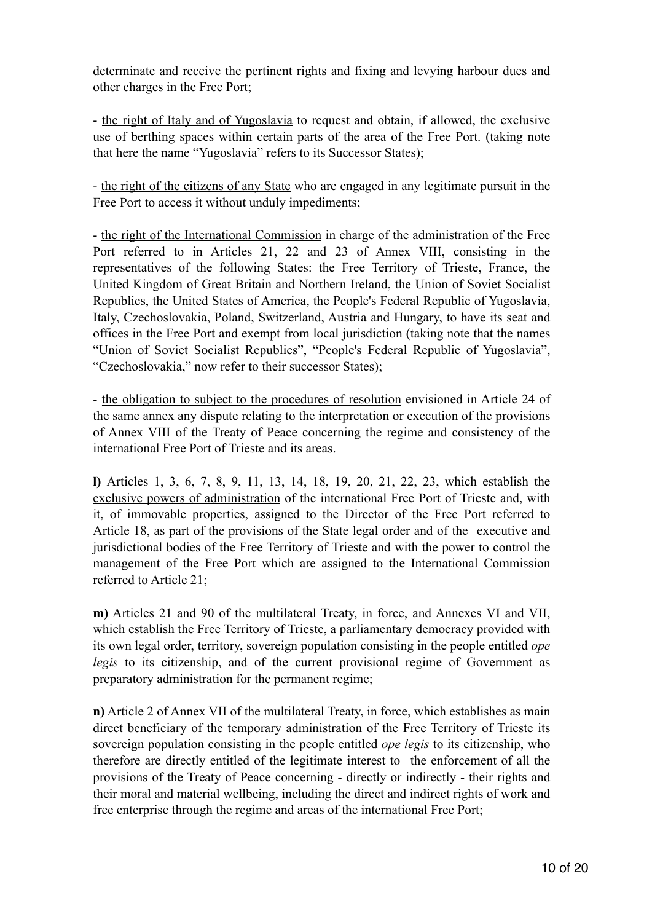determinate and receive the pertinent rights and fixing and levying harbour dues and other charges in the Free Port;

- the right of Italy and of Yugoslavia to request and obtain, if allowed, the exclusive use of berthing spaces within certain parts of the area of the Free Port. (taking note that here the name "Yugoslavia" refers to its Successor States);

- the right of the citizens of any State who are engaged in any legitimate pursuit in the Free Port to access it without unduly impediments;

- the right of the International Commission in charge of the administration of the Free Port referred to in Articles 21, 22 and 23 of Annex VIII, consisting in the representatives of the following States: the Free Territory of Trieste, France, the United Kingdom of Great Britain and Northern Ireland, the Union of Soviet Socialist Republics, the United States of America, the People's Federal Republic of Yugoslavia, Italy, Czechoslovakia, Poland, Switzerland, Austria and Hungary, to have its seat and offices in the Free Port and exempt from local jurisdiction (taking note that the names "Union of Soviet Socialist Republics", "People's Federal Republic of Yugoslavia", "Czechoslovakia," now refer to their successor States);

- the obligation to subject to the procedures of resolution envisioned in Article 24 of the same annex any dispute relating to the interpretation or execution of the provisions of Annex VIII of the Treaty of Peace concerning the regime and consistency of the international Free Port of Trieste and its areas.

**l)** Articles 1, 3, 6, 7, 8, 9, 11, 13, 14, 18, 19, 20, 21, 22, 23, which establish the exclusive powers of administration of the international Free Port of Trieste and, with it, of immovable properties, assigned to the Director of the Free Port referred to Article 18, as part of the provisions of the State legal order and of the executive and jurisdictional bodies of the Free Territory of Trieste and with the power to control the management of the Free Port which are assigned to the International Commission referred to Article 21;

**m)** Articles 21 and 90 of the multilateral Treaty, in force, and Annexes VI and VII, which establish the Free Territory of Trieste, a parliamentary democracy provided with its own legal order, territory, sovereign population consisting in the people entitled *ope legis* to its citizenship, and of the current provisional regime of Government as preparatory administration for the permanent regime;

**n)** Article 2 of Annex VII of the multilateral Treaty, in force, which establishes as main direct beneficiary of the temporary administration of the Free Territory of Trieste its sovereign population consisting in the people entitled *ope legis* to its citizenship, who therefore are directly entitled of the legitimate interest to the enforcement of all the provisions of the Treaty of Peace concerning - directly or indirectly - their rights and their moral and material wellbeing, including the direct and indirect rights of work and free enterprise through the regime and areas of the international Free Port;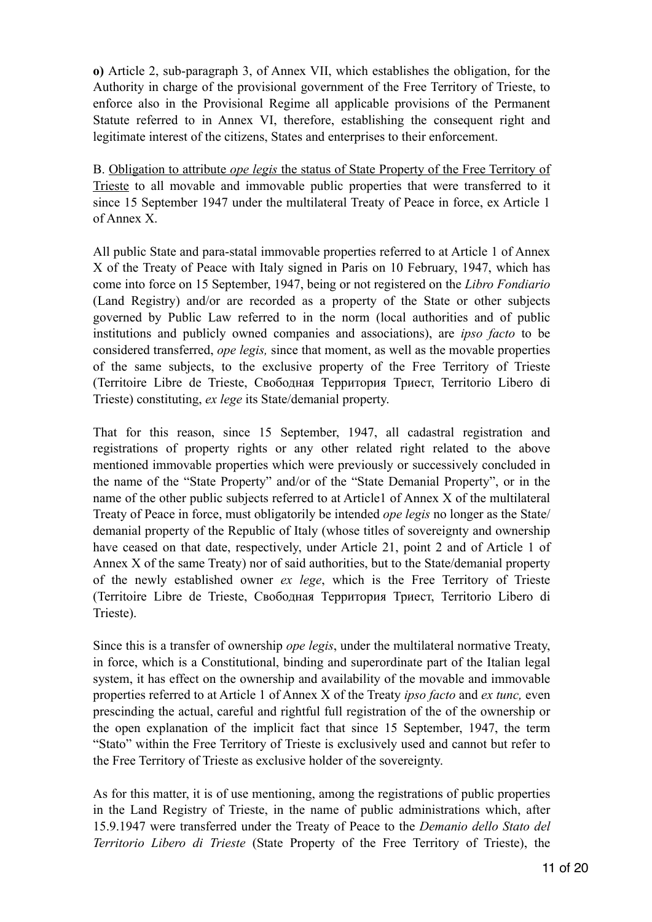**o)** Article 2, sub-paragraph 3, of Annex VII, which establishes the obligation, for the Authority in charge of the provisional government of the Free Territory of Trieste, to enforce also in the Provisional Regime all applicable provisions of the Permanent Statute referred to in Annex VI, therefore, establishing the consequent right and legitimate interest of the citizens, States and enterprises to their enforcement.

B. Obligation to attribute *ope legis* the status of State Property of the Free Territory of Trieste to all movable and immovable public properties that were transferred to it since 15 September 1947 under the multilateral Treaty of Peace in force, ex Article 1 of Annex X.

All public State and para-statal immovable properties referred to at Article 1 of Annex X of the Treaty of Peace with Italy signed in Paris on 10 February, 1947, which has come into force on 15 September, 1947, being or not registered on the *Libro Fondiario* (Land Registry) and/or are recorded as a property of the State or other subjects governed by Public Law referred to in the norm (local authorities and of public institutions and publicly owned companies and associations), are *ipso facto* to be considered transferred, *ope legis,* since that moment, as well as the movable properties of the same subjects, to the exclusive property of the Free Territory of Trieste (Territoire Libre de Trieste, Свободная Территория Триест, Territorio Libero di Trieste) constituting, *ex lege* its State/demanial property.

That for this reason, since 15 September, 1947, all cadastral registration and registrations of property rights or any other related right related to the above mentioned immovable properties which were previously or successively concluded in the name of the "State Property" and/or of the "State Demanial Property", or in the name of the other public subjects referred to at Article1 of Annex X of the multilateral Treaty of Peace in force, must obligatorily be intended *ope legis* no longer as the State/ demanial property of the Republic of Italy (whose titles of sovereignty and ownership have ceased on that date, respectively, under Article 21, point 2 and of Article 1 of Annex X of the same Treaty) nor of said authorities, but to the State/demanial property of the newly established owner *ex lege*, which is the Free Territory of Trieste (Territoire Libre de Trieste, Свободная Территория Триест, Territorio Libero di Trieste).

Since this is a transfer of ownership *ope legis*, under the multilateral normative Treaty, in force, which is a Constitutional, binding and superordinate part of the Italian legal system, it has effect on the ownership and availability of the movable and immovable properties referred to at Article 1 of Annex X of the Treaty *ipso facto* and *ex tunc,* even prescinding the actual, careful and rightful full registration of the of the ownership or the open explanation of the implicit fact that since 15 September, 1947, the term "Stato" within the Free Territory of Trieste is exclusively used and cannot but refer to the Free Territory of Trieste as exclusive holder of the sovereignty.

As for this matter, it is of use mentioning, among the registrations of public properties in the Land Registry of Trieste, in the name of public administrations which, after 15.9.1947 were transferred under the Treaty of Peace to the *Demanio dello Stato del Territorio Libero di Trieste* (State Property of the Free Territory of Trieste), the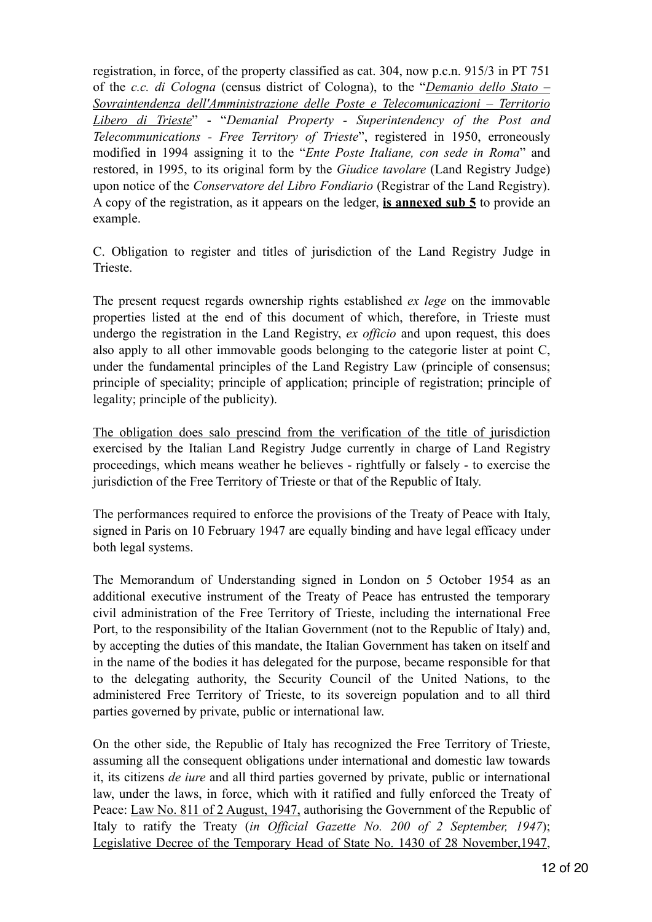registration, in force, of the property classified as cat. 304, now p.c.n. 915/3 in PT 751 of the *c.c. di Cologna* (census district of Cologna), to the "*Demanio dello Stato – Sovraintendenza dell'Amministrazione delle Poste e Telecomunicazioni – Territorio Libero di Trieste*" - "*Demanial Property - Superintendency of the Post and Telecommunications - Free Territory of Trieste*", registered in 1950, erroneously modified in 1994 assigning it to the "*Ente Poste Italiane, con sede in Roma*" and restored, in 1995, to its original form by the *Giudice tavolare* (Land Registry Judge) upon notice of the *Conservatore del Libro Fondiario* (Registrar of the Land Registry). A copy of the registration, as it appears on the ledger, **is annexed sub 5** to provide an example.

C. Obligation to register and titles of jurisdiction of the Land Registry Judge in Trieste.

The present request regards ownership rights established *ex lege* on the immovable properties listed at the end of this document of which, therefore, in Trieste must undergo the registration in the Land Registry, *ex officio* and upon request, this does also apply to all other immovable goods belonging to the categorie lister at point C, under the fundamental principles of the Land Registry Law (principle of consensus; principle of speciality; principle of application; principle of registration; principle of legality; principle of the publicity).

The obligation does salo prescind from the verification of the title of jurisdiction exercised by the Italian Land Registry Judge currently in charge of Land Registry proceedings, which means weather he believes - rightfully or falsely - to exercise the jurisdiction of the Free Territory of Trieste or that of the Republic of Italy.

The performances required to enforce the provisions of the Treaty of Peace with Italy, signed in Paris on 10 February 1947 are equally binding and have legal efficacy under both legal systems.

The Memorandum of Understanding signed in London on 5 October 1954 as an additional executive instrument of the Treaty of Peace has entrusted the temporary civil administration of the Free Territory of Trieste, including the international Free Port, to the responsibility of the Italian Government (not to the Republic of Italy) and, by accepting the duties of this mandate, the Italian Government has taken on itself and in the name of the bodies it has delegated for the purpose, became responsible for that to the delegating authority, the Security Council of the United Nations, to the administered Free Territory of Trieste, to its sovereign population and to all third parties governed by private, public or international law.

On the other side, the Republic of Italy has recognized the Free Territory of Trieste, assuming all the consequent obligations under international and domestic law towards it, its citizens *de iure* and all third parties governed by private, public or international law, under the laws, in force, which with it ratified and fully enforced the Treaty of Peace: Law No. 811 of 2 August, 1947, authorising the Government of the Republic of Italy to ratify the Treaty (*in Official Gazette No. 200 of 2 September, 1947*); Legislative Decree of the Temporary Head of State No. 1430 of 28 November,1947,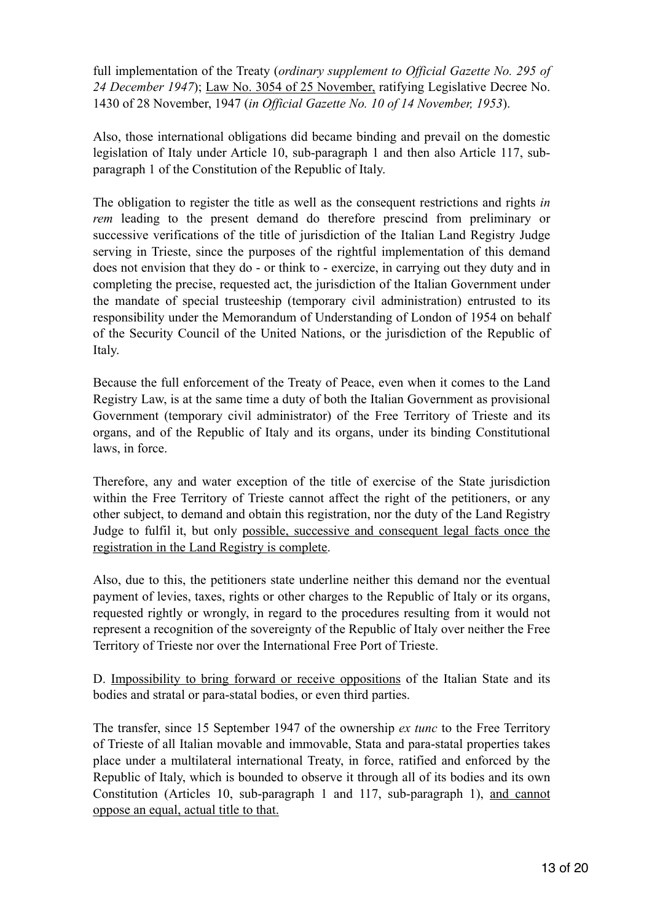full implementation of the Treaty (*ordinary supplement to Official Gazette No. 295 of 24 December 1947*); Law No. 3054 of 25 November, ratifying Legislative Decree No. 1430 of 28 November, 1947 (*in Official Gazette No. 10 of 14 November, 1953*).

Also, those international obligations did became binding and prevail on the domestic legislation of Italy under Article 10, sub-paragraph 1 and then also Article 117, subparagraph 1 of the Constitution of the Republic of Italy.

The obligation to register the title as well as the consequent restrictions and rights *in rem* leading to the present demand do therefore prescind from preliminary or successive verifications of the title of jurisdiction of the Italian Land Registry Judge serving in Trieste, since the purposes of the rightful implementation of this demand does not envision that they do - or think to - exercize, in carrying out they duty and in completing the precise, requested act, the jurisdiction of the Italian Government under the mandate of special trusteeship (temporary civil administration) entrusted to its responsibility under the Memorandum of Understanding of London of 1954 on behalf of the Security Council of the United Nations, or the jurisdiction of the Republic of Italy.

Because the full enforcement of the Treaty of Peace, even when it comes to the Land Registry Law, is at the same time a duty of both the Italian Government as provisional Government (temporary civil administrator) of the Free Territory of Trieste and its organs, and of the Republic of Italy and its organs, under its binding Constitutional laws, in force.

Therefore, any and water exception of the title of exercise of the State jurisdiction within the Free Territory of Trieste cannot affect the right of the petitioners, or any other subject, to demand and obtain this registration, nor the duty of the Land Registry Judge to fulfil it, but only possible, successive and consequent legal facts once the registration in the Land Registry is complete.

Also, due to this, the petitioners state underline neither this demand nor the eventual payment of levies, taxes, rights or other charges to the Republic of Italy or its organs, requested rightly or wrongly, in regard to the procedures resulting from it would not represent a recognition of the sovereignty of the Republic of Italy over neither the Free Territory of Trieste nor over the International Free Port of Trieste.

D. Impossibility to bring forward or receive oppositions of the Italian State and its bodies and stratal or para-statal bodies, or even third parties.

The transfer, since 15 September 1947 of the ownership *ex tunc* to the Free Territory of Trieste of all Italian movable and immovable, Stata and para-statal properties takes place under a multilateral international Treaty, in force, ratified and enforced by the Republic of Italy, which is bounded to observe it through all of its bodies and its own Constitution (Articles 10, sub-paragraph 1 and 117, sub-paragraph 1), and cannot oppose an equal, actual title to that.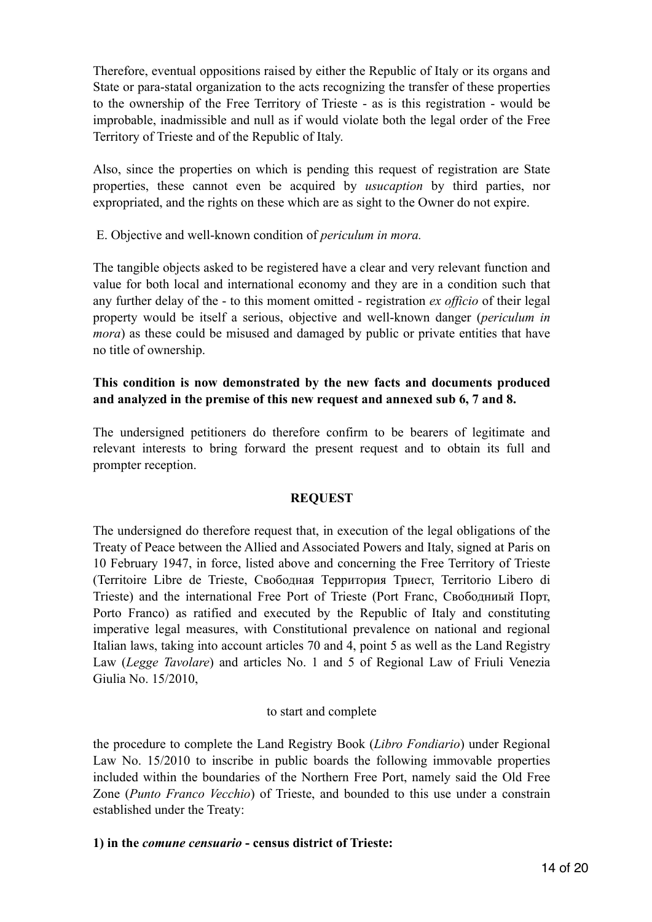Therefore, eventual oppositions raised by either the Republic of Italy or its organs and State or para-statal organization to the acts recognizing the transfer of these properties to the ownership of the Free Territory of Trieste - as is this registration - would be improbable, inadmissible and null as if would violate both the legal order of the Free Territory of Trieste and of the Republic of Italy.

Also, since the properties on which is pending this request of registration are State properties, these cannot even be acquired by *usucaption* by third parties, nor expropriated, and the rights on these which are as sight to the Owner do not expire.

E. Objective and well-known condition of *periculum in mora.* 

The tangible objects asked to be registered have a clear and very relevant function and value for both local and international economy and they are in a condition such that any further delay of the - to this moment omitted - registration *ex officio* of their legal property would be itself a serious, objective and well-known danger (*periculum in mora*) as these could be misused and damaged by public or private entities that have no title of ownership.

# **This condition is now demonstrated by the new facts and documents produced and analyzed in the premise of this new request and annexed sub 6, 7 and 8.**

The undersigned petitioners do therefore confirm to be bearers of legitimate and relevant interests to bring forward the present request and to obtain its full and prompter reception.

# **REQUEST**

The undersigned do therefore request that, in execution of the legal obligations of the Treaty of Peace between the Allied and Associated Powers and Italy, signed at Paris on 10 February 1947, in force, listed above and concerning the Free Territory of Trieste (Territoire Libre de Trieste, Свободная Территория Триест, Territorio Libero di Trieste) and the international Free Port of Trieste (Port Franc, Свободниый Порт, Porto Franco) as ratified and executed by the Republic of Italy and constituting imperative legal measures, with Constitutional prevalence on national and regional Italian laws, taking into account articles 70 and 4, point 5 as well as the Land Registry Law (*Legge Tavolare*) and articles No. 1 and 5 of Regional Law of Friuli Venezia Giulia No. 15/2010,

### to start and complete

the procedure to complete the Land Registry Book (*Libro Fondiario*) under Regional Law No. 15/2010 to inscribe in public boards the following immovable properties included within the boundaries of the Northern Free Port, namely said the Old Free Zone (*Punto Franco Vecchio*) of Trieste, and bounded to this use under a constrain established under the Treaty:

### **1) in the** *comune censuario* **- census district of Trieste:**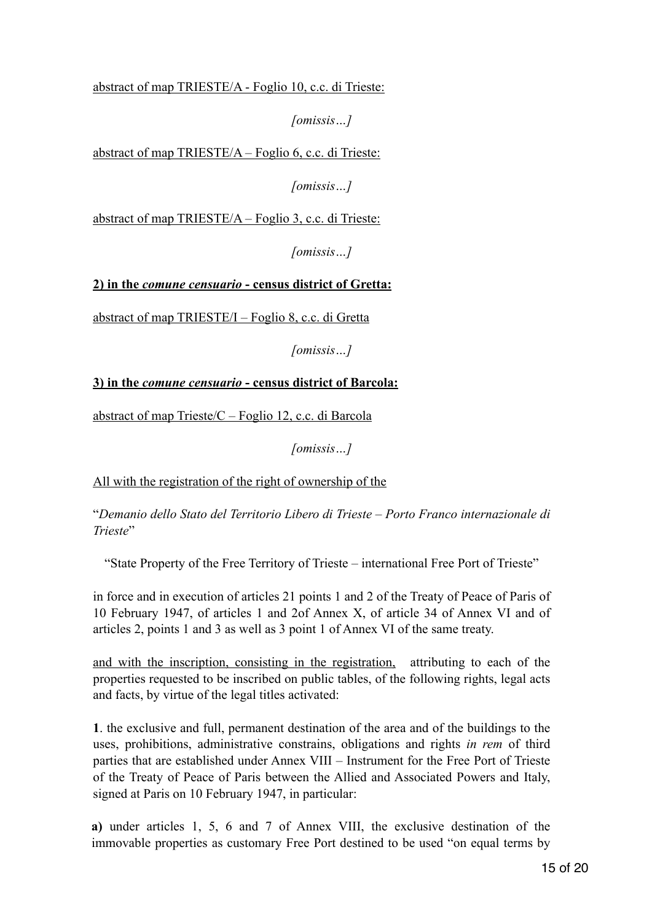abstract of map TRIESTE/A - Foglio 10, c.c. di Trieste:

*[omissis…]*

abstract of map TRIESTE/A – Foglio 6, c.c. di Trieste:

*[omissis…]* 

abstract of map TRIESTE/A – Foglio 3, c.c. di Trieste:

*[omissis…]* 

**2) in the** *comune censuario* **- census district of Gretta:** 

abstract of map TRIESTE/I – Foglio 8, c.c. di Gretta

*[omissis…]* 

# **3) in the** *comune censuario* **- census district of Barcola:**

abstract of map Trieste/C – Foglio 12, c.c. di Barcola

*[omissis…]*

All with the registration of the right of ownership of the

"*Demanio dello Stato del Territorio Libero di Trieste – Porto Franco internazionale di Trieste*"

"State Property of the Free Territory of Trieste – international Free Port of Trieste"

in force and in execution of articles 21 points 1 and 2 of the Treaty of Peace of Paris of 10 February 1947, of articles 1 and 2of Annex X, of article 34 of Annex VI and of articles 2, points 1 and 3 as well as 3 point 1 of Annex VI of the same treaty.

and with the inscription, consisting in the registration, attributing to each of the properties requested to be inscribed on public tables, of the following rights, legal acts and facts, by virtue of the legal titles activated:

**1**. the exclusive and full, permanent destination of the area and of the buildings to the uses, prohibitions, administrative constrains, obligations and rights *in rem* of third parties that are established under Annex VIII – Instrument for the Free Port of Trieste of the Treaty of Peace of Paris between the Allied and Associated Powers and Italy, signed at Paris on 10 February 1947, in particular:

**a)** under articles 1, 5, 6 and 7 of Annex VIII, the exclusive destination of the immovable properties as customary Free Port destined to be used "on equal terms by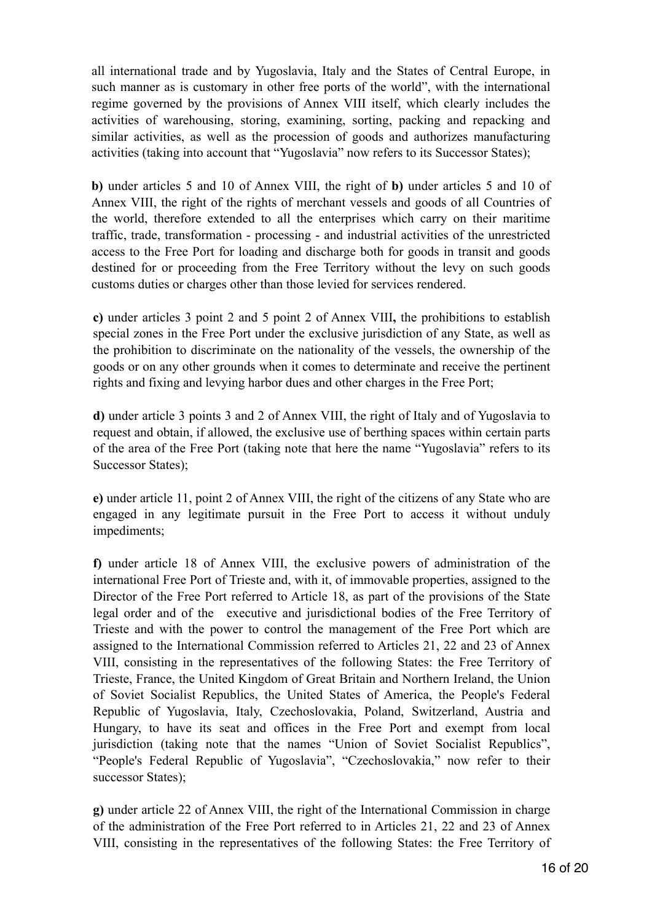all international trade and by Yugoslavia, Italy and the States of Central Europe, in such manner as is customary in other free ports of the world", with the international regime governed by the provisions of Annex VIII itself, which clearly includes the activities of warehousing, storing, examining, sorting, packing and repacking and similar activities, as well as the procession of goods and authorizes manufacturing activities (taking into account that "Yugoslavia" now refers to its Successor States);

**b)** under articles 5 and 10 of Annex VIII, the right of **b)** under articles 5 and 10 of Annex VIII, the right of the rights of merchant vessels and goods of all Countries of the world, therefore extended to all the enterprises which carry on their maritime traffic, trade, transformation - processing - and industrial activities of the unrestricted access to the Free Port for loading and discharge both for goods in transit and goods destined for or proceeding from the Free Territory without the levy on such goods customs duties or charges other than those levied for services rendered.

**c)** under articles 3 point 2 and 5 point 2 of Annex VIII**,** the prohibitions to establish special zones in the Free Port under the exclusive jurisdiction of any State, as well as the prohibition to discriminate on the nationality of the vessels, the ownership of the goods or on any other grounds when it comes to determinate and receive the pertinent rights and fixing and levying harbor dues and other charges in the Free Port;

**d)** under article 3 points 3 and 2 of Annex VIII, the right of Italy and of Yugoslavia to request and obtain, if allowed, the exclusive use of berthing spaces within certain parts of the area of the Free Port (taking note that here the name "Yugoslavia" refers to its Successor States);

**e)** under article 11, point 2 of Annex VIII, the right of the citizens of any State who are engaged in any legitimate pursuit in the Free Port to access it without unduly impediments;

**f)** under article 18 of Annex VIII, the exclusive powers of administration of the international Free Port of Trieste and, with it, of immovable properties, assigned to the Director of the Free Port referred to Article 18, as part of the provisions of the State legal order and of the executive and jurisdictional bodies of the Free Territory of Trieste and with the power to control the management of the Free Port which are assigned to the International Commission referred to Articles 21, 22 and 23 of Annex VIII, consisting in the representatives of the following States: the Free Territory of Trieste, France, the United Kingdom of Great Britain and Northern Ireland, the Union of Soviet Socialist Republics, the United States of America, the People's Federal Republic of Yugoslavia, Italy, Czechoslovakia, Poland, Switzerland, Austria and Hungary, to have its seat and offices in the Free Port and exempt from local jurisdiction (taking note that the names "Union of Soviet Socialist Republics", "People's Federal Republic of Yugoslavia", "Czechoslovakia," now refer to their successor States);

**g)** under article 22 of Annex VIII, the right of the International Commission in charge of the administration of the Free Port referred to in Articles 21, 22 and 23 of Annex VIII, consisting in the representatives of the following States: the Free Territory of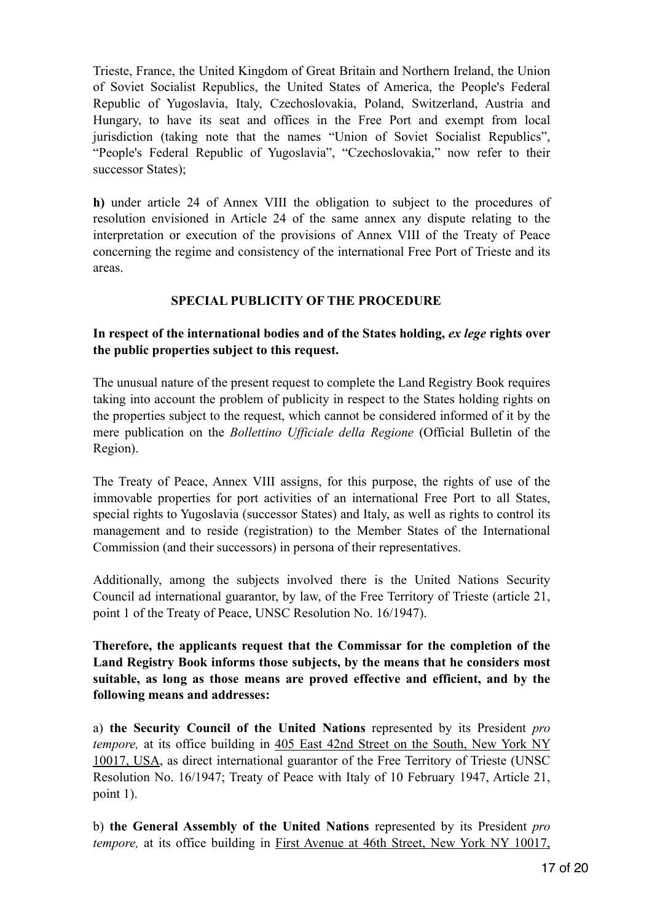Trieste, France, the United Kingdom of Great Britain and Northern Ireland, the Union of Soviet Socialist Republics, the United States of America, the People's Federal Republic of Yugoslavia, Italy, Czechoslovakia, Poland, Switzerland, Austria and Hungary, to have its seat and offices in the Free Port and exempt from local jurisdiction (taking note that the names "Union of Soviet Socialist Republics", "People's Federal Republic of Yugoslavia", "Czechoslovakia," now refer to their successor States);

**h)** under article 24 of Annex VIII the obligation to subject to the procedures of resolution envisioned in Article 24 of the same annex any dispute relating to the interpretation or execution of the provisions of Annex VIII of the Treaty of Peace concerning the regime and consistency of the international Free Port of Trieste and its areas.

### **SPECIAL PUBLICITY OF THE PROCEDURE**

### **In respect of the international bodies and of the States holding,** *ex lege* **rights over the public properties subject to this request.**

The unusual nature of the present request to complete the Land Registry Book requires taking into account the problem of publicity in respect to the States holding rights on the properties subject to the request, which cannot be considered informed of it by the mere publication on the *Bollettino Ufficiale della Regione* (Official Bulletin of the Region).

The Treaty of Peace, Annex VIII assigns, for this purpose, the rights of use of the immovable properties for port activities of an international Free Port to all States, special rights to Yugoslavia (successor States) and Italy, as well as rights to control its management and to reside (registration) to the Member States of the International Commission (and their successors) in persona of their representatives.

Additionally, among the subjects involved there is the United Nations Security Council ad international guarantor, by law, of the Free Territory of Trieste (article 21, point 1 of the Treaty of Peace, UNSC Resolution No. 16/1947).

**Therefore, the applicants request that the Commissar for the completion of the Land Registry Book informs those subjects, by the means that he considers most suitable, as long as those means are proved effective and efficient, and by the following means and addresses:** 

a) **the Security Council of the United Nations** represented by its President *pro tempore,* at its office building in 405 East 42nd Street on the South, New York NY 10017, USA, as direct international guarantor of the Free Territory of Trieste (UNSC Resolution No. 16/1947; Treaty of Peace with Italy of 10 February 1947, Article 21, point 1).

b) **the General Assembly of the United Nations** represented by its President *pro tempore,* at its office building in First Avenue at 46th Street, New York NY 10017,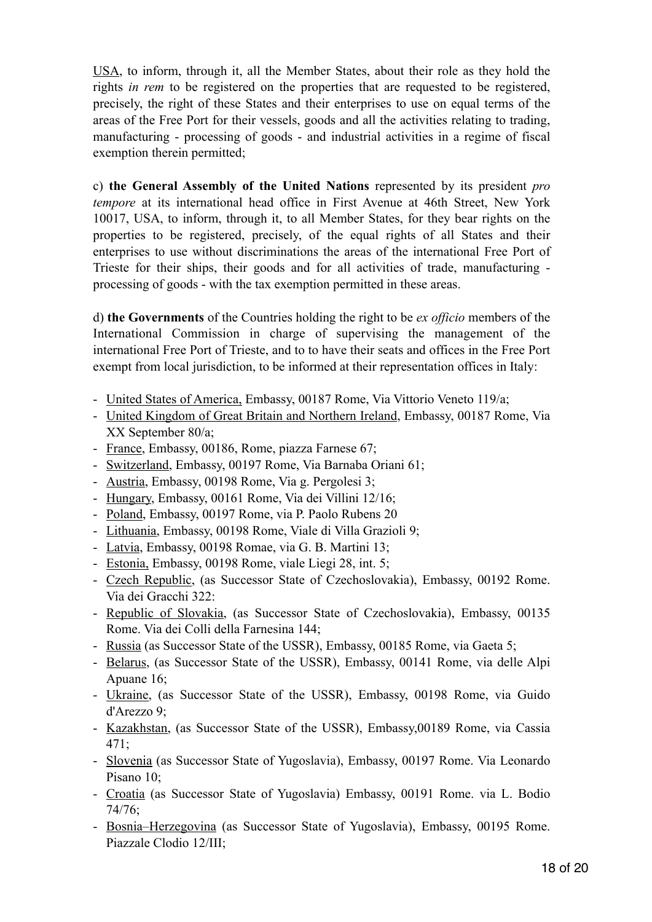USA, to inform, through it, all the Member States, about their role as they hold the rights *in rem* to be registered on the properties that are requested to be registered, precisely, the right of these States and their enterprises to use on equal terms of the areas of the Free Port for their vessels, goods and all the activities relating to trading, manufacturing - processing of goods - and industrial activities in a regime of fiscal exemption therein permitted;

c) **the General Assembly of the United Nations** represented by its president *pro tempore* at its international head office in First Avenue at 46th Street, New York 10017, USA, to inform, through it, to all Member States, for they bear rights on the properties to be registered, precisely, of the equal rights of all States and their enterprises to use without discriminations the areas of the international Free Port of Trieste for their ships, their goods and for all activities of trade, manufacturing processing of goods - with the tax exemption permitted in these areas.

d) **the Governments** of the Countries holding the right to be *ex officio* members of the International Commission in charge of supervising the management of the international Free Port of Trieste, and to to have their seats and offices in the Free Port exempt from local jurisdiction, to be informed at their representation offices in Italy:

- United States of America, Embassy, 00187 Rome, Via Vittorio Veneto 119/a;
- United Kingdom of Great Britain and Northern Ireland, Embassy, 00187 Rome, Via XX September 80/a;
- France, Embassy, 00186, Rome, piazza Farnese 67;
- Switzerland, Embassy, 00197 Rome, Via Barnaba Oriani 61;
- Austria, Embassy, 00198 Rome, Via g. Pergolesi 3;
- Hungary, Embassy, 00161 Rome, Via dei Villini 12/16;
- Poland, Embassy, 00197 Rome, via P. Paolo Rubens 20
- Lithuania, Embassy, 00198 Rome, Viale di Villa Grazioli 9;
- Latvia, Embassy, 00198 Romae, via G. B. Martini 13;
- Estonia, Embassy, 00198 Rome, viale Liegi 28, int. 5;
- Czech Republic, (as Successor State of Czechoslovakia), Embassy, 00192 Rome. Via dei Gracchi 322:
- Republic of Slovakia, (as Successor State of Czechoslovakia), Embassy, 00135 Rome. Via dei Colli della Farnesina 144;
- Russia (as Successor State of the USSR), Embassy, 00185 Rome, via Gaeta 5;
- Belarus, (as Successor State of the USSR), Embassy, 00141 Rome, via delle Alpi Apuane 16;
- Ukraine, (as Successor State of the USSR), Embassy, 00198 Rome, via Guido d'Arezzo 9;
- Kazakhstan, (as Successor State of the USSR), Embassy,00189 Rome, via Cassia 471;
- Slovenia (as Successor State of Yugoslavia), Embassy, 00197 Rome. Via Leonardo Pisano 10;
- Croatia (as Successor State of Yugoslavia) Embassy, 00191 Rome. via L. Bodio 74/76;
- Bosnia–Herzegovina (as Successor State of Yugoslavia), Embassy, 00195 Rome. Piazzale Clodio 12/III;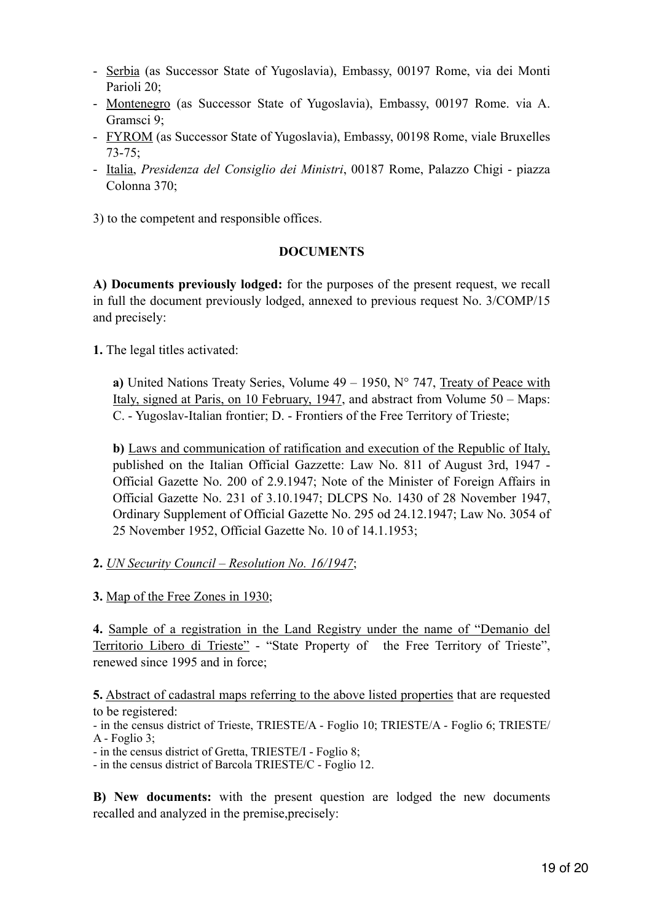- Serbia (as Successor State of Yugoslavia), Embassy, 00197 Rome, via dei Monti Parioli 20;
- Montenegro (as Successor State of Yugoslavia), Embassy, 00197 Rome. via A. Gramsci 9;
- FYROM (as Successor State of Yugoslavia), Embassy, 00198 Rome, viale Bruxelles 73-75;
- Italia, *Presidenza del Consiglio dei Ministri*, 00187 Rome, Palazzo Chigi piazza Colonna 370;
- 3) to the competent and responsible offices.

#### **DOCUMENTS**

**A) Documents previously lodged:** for the purposes of the present request, we recall in full the document previously lodged, annexed to previous request No. 3/COMP/15 and precisely:

**1.** The legal titles activated:

**a)** United Nations Treaty Series, Volume 49 – 1950, N° 747, Treaty of Peace with Italy, signed at Paris, on 10 February, 1947, and abstract from Volume 50 – Maps: C. - Yugoslav-Italian frontier; D. - Frontiers of the Free Territory of Trieste;

**b)** Laws and communication of ratification and execution of the Republic of Italy, published on the Italian Official Gazzette: Law No. 811 of August 3rd, 1947 - Official Gazette No. 200 of 2.9.1947; Note of the Minister of Foreign Affairs in Official Gazette No. 231 of 3.10.1947; DLCPS No. 1430 of 28 November 1947, Ordinary Supplement of Official Gazette No. 295 od 24.12.1947; Law No. 3054 of 25 November 1952, Official Gazette No. 10 of 14.1.1953;

### **2.** *UN Security Council – Resolution No. 16/1947*;

**3.** Map of the Free Zones in 1930;

**4.** Sample of a registration in the Land Registry under the name of "Demanio del Territorio Libero di Trieste" - "State Property of the Free Territory of Trieste", renewed since 1995 and in force;

**5.** Abstract of cadastral maps referring to the above listed properties that are requested to be registered:

- in the census district of Trieste, TRIESTE/A - Foglio 10; TRIESTE/A - Foglio 6; TRIESTE/ A - Foglio 3;

- in the census district of Gretta, TRIESTE/I - Foglio 8;

- in the census district of Barcola TRIESTE/C - Foglio 12.

**B) New documents:** with the present question are lodged the new documents recalled and analyzed in the premise,precisely: